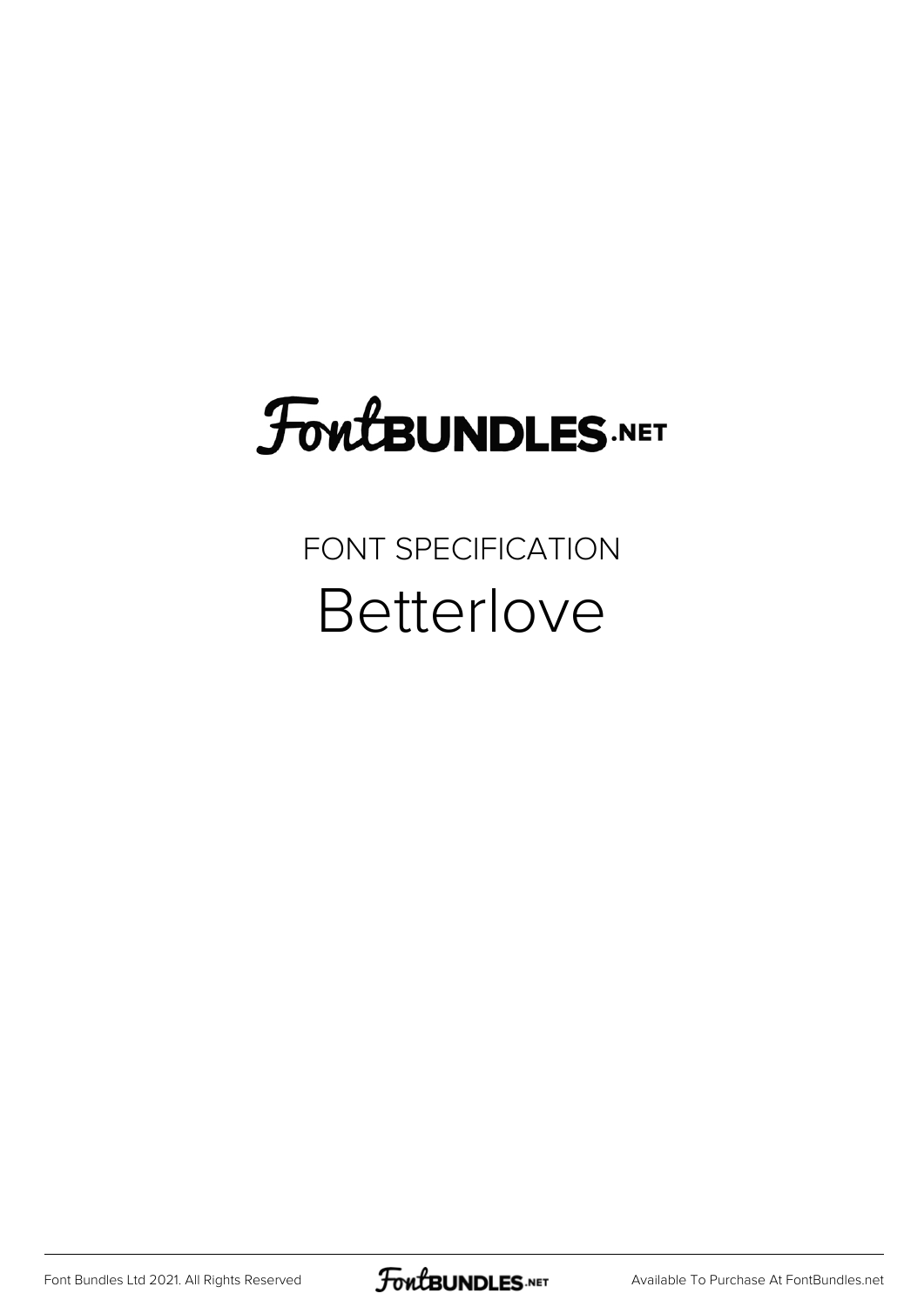# FoutBUNDLES.NET

#### FONT SPECIFICATION **Betterlove**

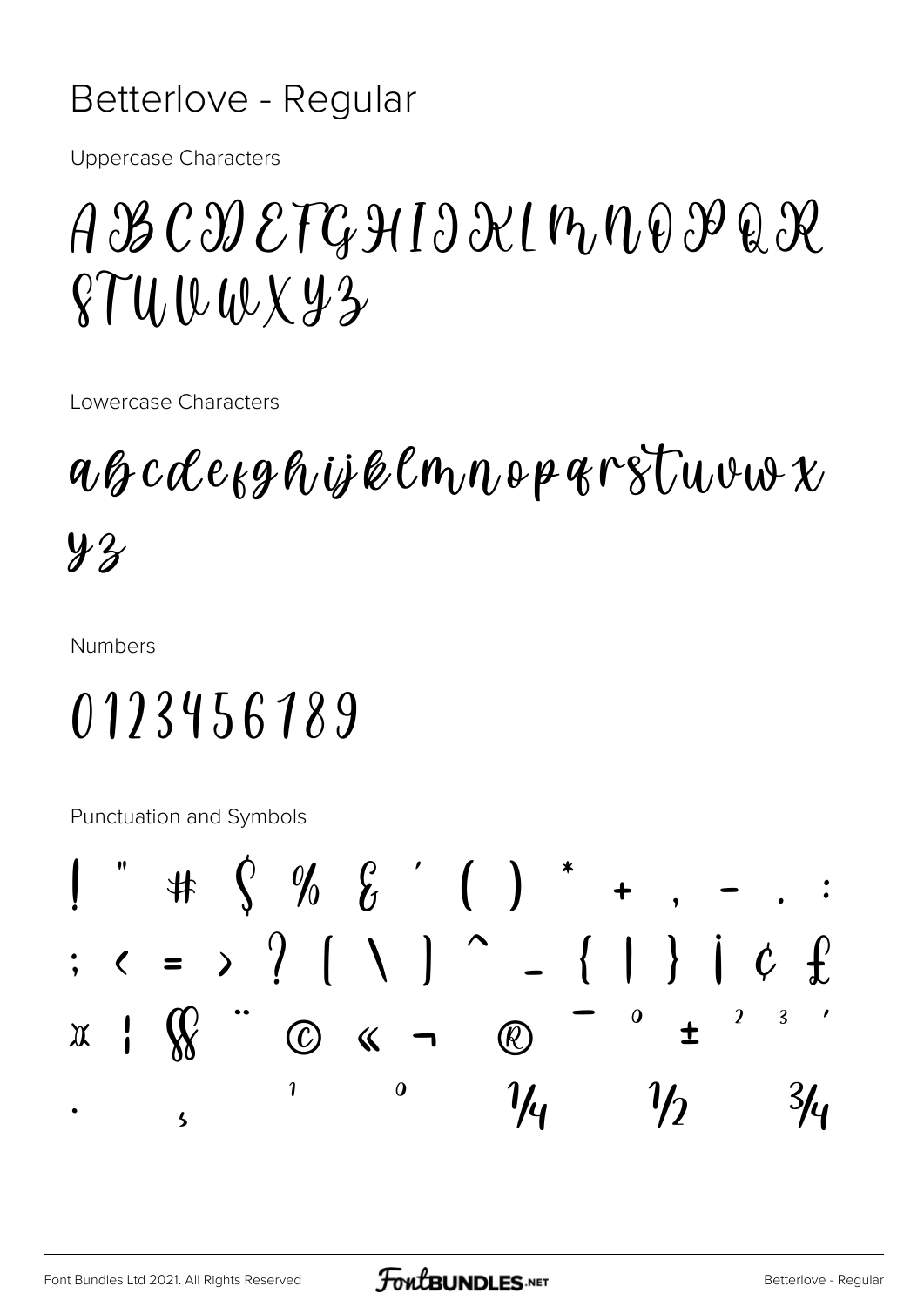#### Betterlove - Regular

**Uppercase Characters** 

### $A B C D E T G H 1 \partial \mathcal{X}$ l n $D \partial \mathcal{Y} Q \mathcal{X}$  $874.0001142$

Lowercase Characters

#### $\alpha\beta$  cole  $\alpha\beta\beta\gamma$  is kelm,  $\eta \circ \beta\gamma\gamma$  if  $\gamma \circ \beta$  $4.3$

**Numbers** 

## 0123456189

**Punctuation and Symbols** 

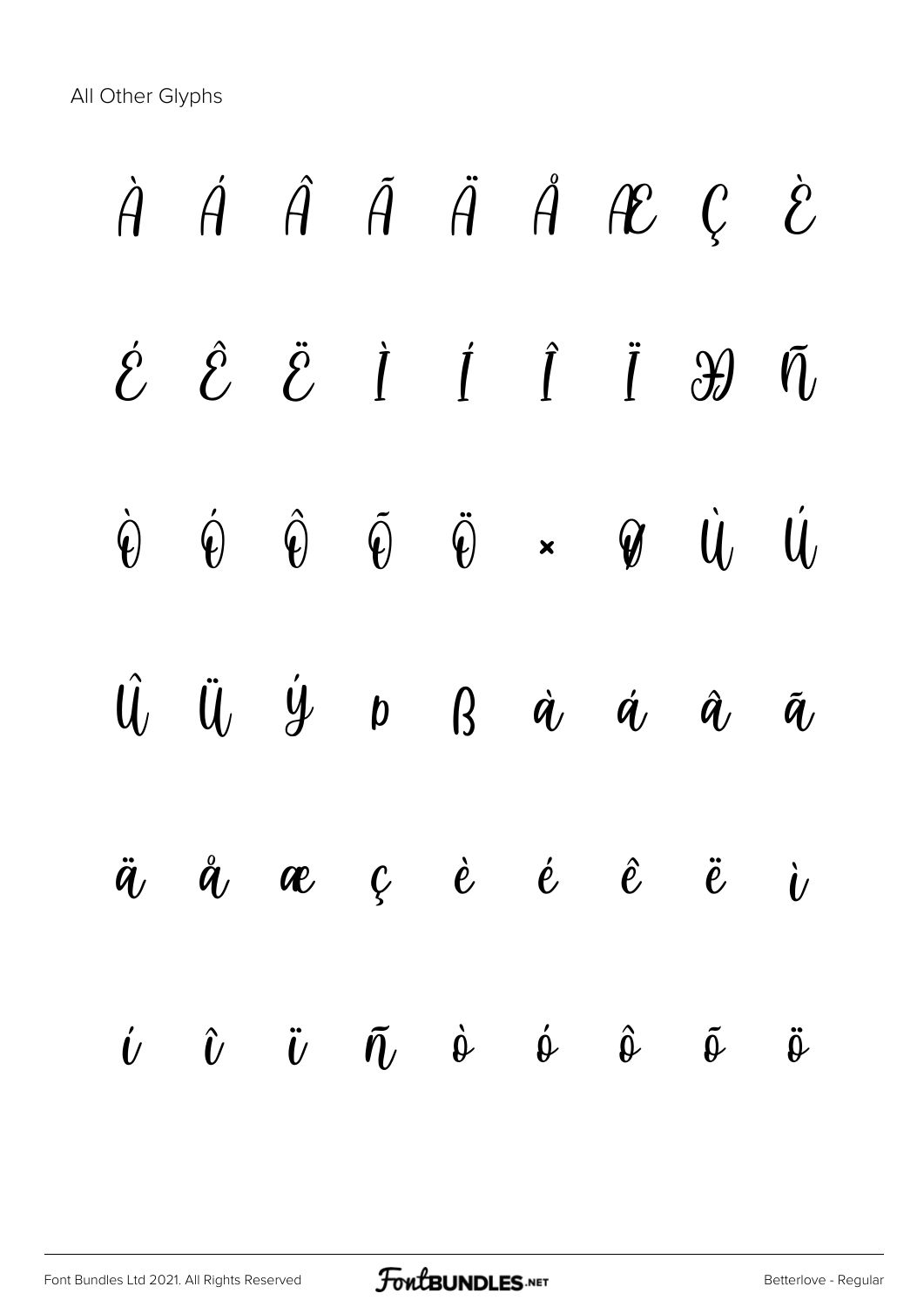All Other Glyphs

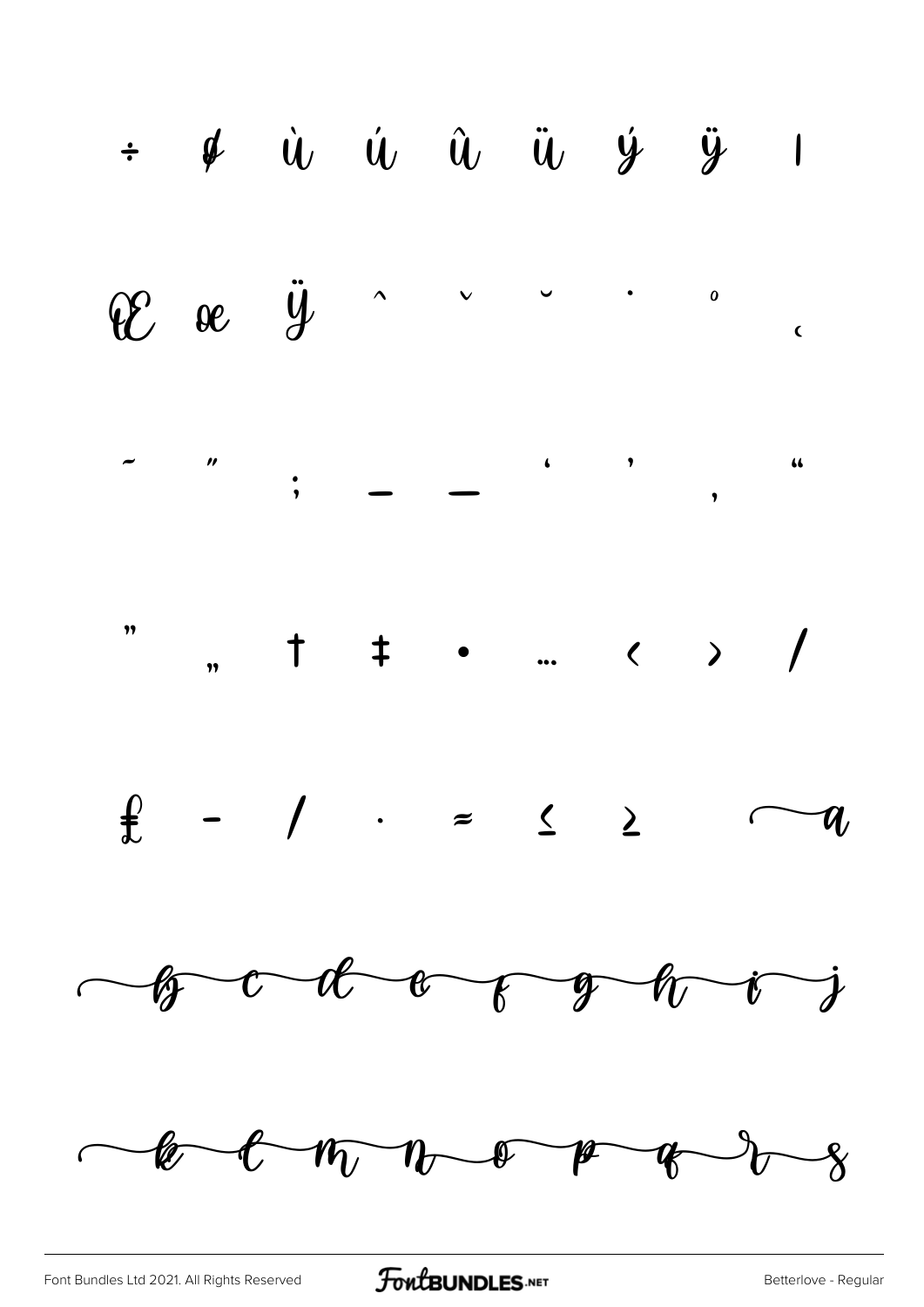